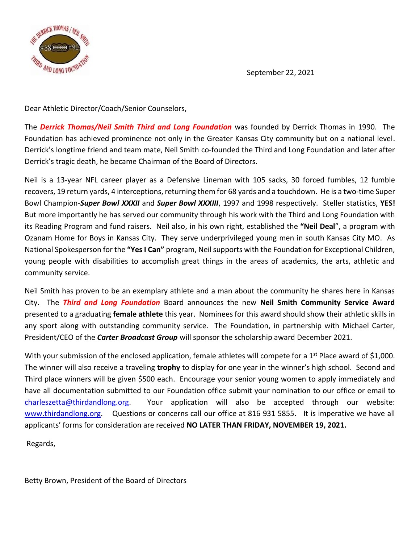

September 22, 2021

Dear Athletic Director/Coach/Senior Counselors,

The *Derrick Thomas/Neil Smith Third and Long Foundation* was founded by Derrick Thomas in 1990. The Foundation has achieved prominence not only in the Greater Kansas City community but on a national level. Derrick's longtime friend and team mate, Neil Smith co-founded the Third and Long Foundation and later after Derrick's tragic death, he became Chairman of the Board of Directors.

Neil is a 13-year NFL career player as a Defensive Lineman with 105 sacks, 30 forced fumbles, 12 fumble recovers, 19 return yards, 4 interceptions, returning them for 68 yards and a touchdown. He is a two-time Super Bowl Champion-*Super Bowl XXXII* and *Super Bowl XXXIII*, 1997 and 1998 respectively. Steller statistics, **YES!** But more importantly he has served our community through his work with the Third and Long Foundation with its Reading Program and fund raisers. Neil also, in his own right, established the **"Neil Deal**", a program with Ozanam Home for Boys in Kansas City. They serve underprivileged young men in south Kansas City MO. As National Spokesperson for the **"Yes I Can"** program, Neil supports with the Foundation for Exceptional Children, young people with disabilities to accomplish great things in the areas of academics, the arts, athletic and community service.

Neil Smith has proven to be an exemplary athlete and a man about the community he shares here in Kansas City. The *Third and Long Foundation* Board announces the new **Neil Smith Community Service Award** presented to a graduating **female athlete** this year. Nominees for this award should show their athletic skills in any sport along with outstanding community service. The Foundation, in partnership with Michael Carter, President/CEO of the *Carter Broadcast Group* will sponsor the scholarship award December 2021.

With your submission of the enclosed application, female athletes will compete for a 1<sup>st</sup> Place award of \$1,000. The winner will also receive a traveling **trophy** to display for one year in the winner's high school. Second and Third place winners will be given \$500 each. Encourage your senior young women to apply immediately and have all documentation submitted to our Foundation office submit your nomination to our office or email to [charleszetta@thirdandlong.org.](mailto:charleszetta@thirdandlong.org) Your application will also be accepted through our website: [www.thirdandlong.org.](http://www.thirdandlong.org/) Questions or concerns call our office at 816 931 5855. It is imperative we have all applicants' forms for consideration are received **NO LATER THAN FRIDAY, NOVEMBER 19, 2021.**

Regards,

Betty Brown, President of the Board of Directors